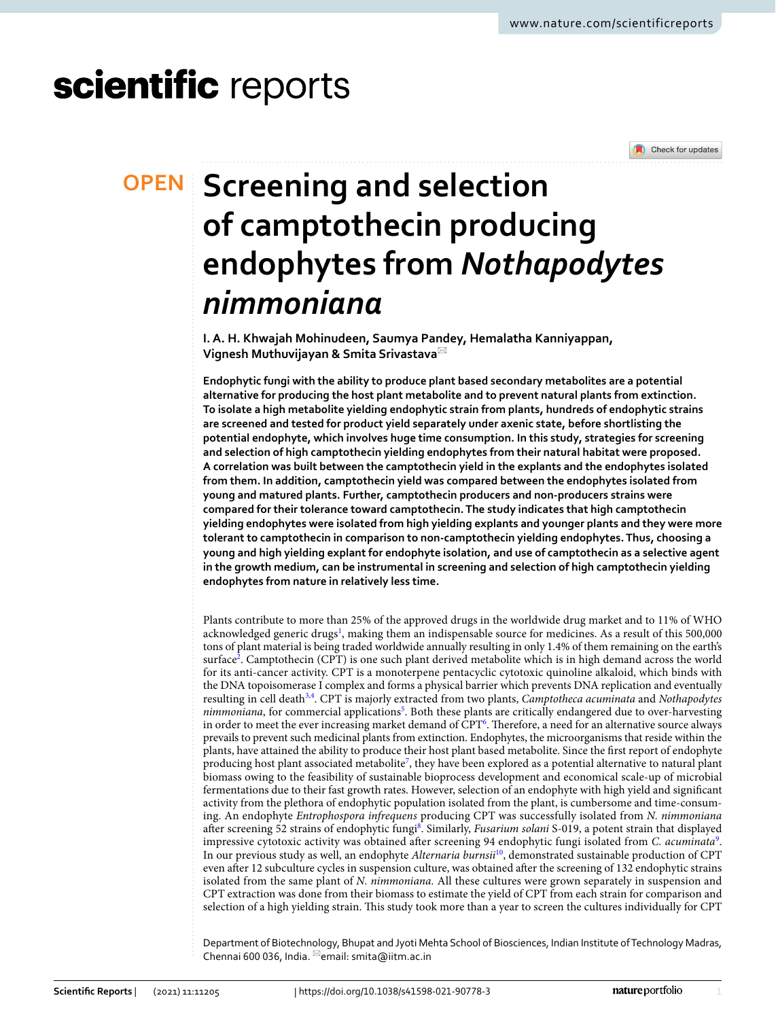# scientific reports



## **SCreening and selection of camptothecin producing endophytes from** *Nothapodytes nimmoniana*

**I. A. H. Khwajah Mohinudeen, Saumya Pandey, Hemalatha Kanniyappan, Vignesh Muthuvijayan & Smita Srivastava**\*

**Endophytic fungi with the ability to produce plant based secondary metabolites are a potential alternative for producing the host plant metabolite and to prevent natural plants from extinction. To isolate a high metabolite yielding endophytic strain from plants, hundreds of endophytic strains are screened and tested for product yield separately under axenic state, before shortlisting the potential endophyte, which involves huge time consumption. In this study, strategies for screening and selection of high camptothecin yielding endophytes from their natural habitat were proposed. A correlation was built between the camptothecin yield in the explants and the endophytes isolated from them. In addition, camptothecin yield was compared between the endophytes isolated from young and matured plants. Further, camptothecin producers and non-producers strains were compared for their tolerance toward camptothecin. The study indicates that high camptothecin yielding endophytes were isolated from high yielding explants and younger plants and they were more tolerant to camptothecin in comparison to non-camptothecin yielding endophytes. Thus, choosing a young and high yielding explant for endophyte isolation, and use of camptothecin as a selective agent in the growth medium, can be instrumental in screening and selection of high camptothecin yielding endophytes from nature in relatively less time.**

Plants contribute to more than 25% of the approved drugs in the worldwide drug market and to 11% of WHO acknowledged generic drugs<sup>[1](#page-7-0)</sup>, making them an indispensable source for medicines. As a result of this 500,000 tons of plant material is being traded worldwide annually resulting in only 1.4% of them remaining on the earth's surface<sup>[2](#page-7-1)</sup>. Camptothecin (CPT) is one such plant derived metabolite which is in high demand across the world for its anti-cancer activity. CPT is a monoterpene pentacyclic cytotoxic quinoline alkaloid, which binds with the DNA topoisomerase I complex and forms a physical barrier which prevents DNA replication and eventually resulting in cell death<sup>[3](#page-7-2),[4](#page-7-3)</sup>. CPT is majorly extracted from two plants, *Camptotheca acuminata* and Nothapodytes nimmoniana, for commercial applications<sup>[5](#page-7-4)</sup>. Both these plants are critically endangered due to over-harvesting in order to meet the ever increasing market demand of CPT<sup>[6](#page-7-5)</sup>. Therefore, a need for an alternative source always prevails to prevent such medicinal plants from extinction. Endophytes, the microorganisms that reside within the plants, have attained the ability to produce their host plant based metabolite. Since the first report of endophyte producing host plant associated metabolite<sup>[7](#page-7-6)</sup>, they have been explored as a potential alternative to natural plant biomass owing to the feasibility of sustainable bioprocess development and economical scale-up of microbial fermentations due to their fast growth rates. However, selection of an endophyte with high yield and significant activity from the plethora of endophytic population isolated from the plant, is cumbersome and time-consuming. An endophyte Entrophospora infrequens producing CPT was successfully isolated from N. nimmoniana after screening 52 strains of endophytic fungi<sup>[8](#page-7-7)</sup>. Similarly, Fusarium solani S-019, a potent strain that displayed impressive cytotoxic activity was obtained after screening [9](#page-7-8)4 endophytic fungi isolated from C. acuminata<sup>9</sup>. In our previous study as well, an endophyte Alternaria burnsii<sup>[10](#page-7-9)</sup>, demonstrated sustainable production of CPT even after 12 subculture cycles in suspension culture, was obtained after the screening of 132 endophytic strains isolated from the same plant of N. nimmoniana. All these cultures were grown separately in suspension and CPT extraction was done from their biomass to estimate the yield of CPT from each strain for comparison and selection of a high yielding strain. This study took more than a year to screen the cultures individually for CPT

Department of Biotechnology, Bhupat and Jyoti Mehta School of Biosciences, Indian Institute of Technology Madras, Chennai 600 036, India.  $\text{m}$ email: smita@iitm.ac.in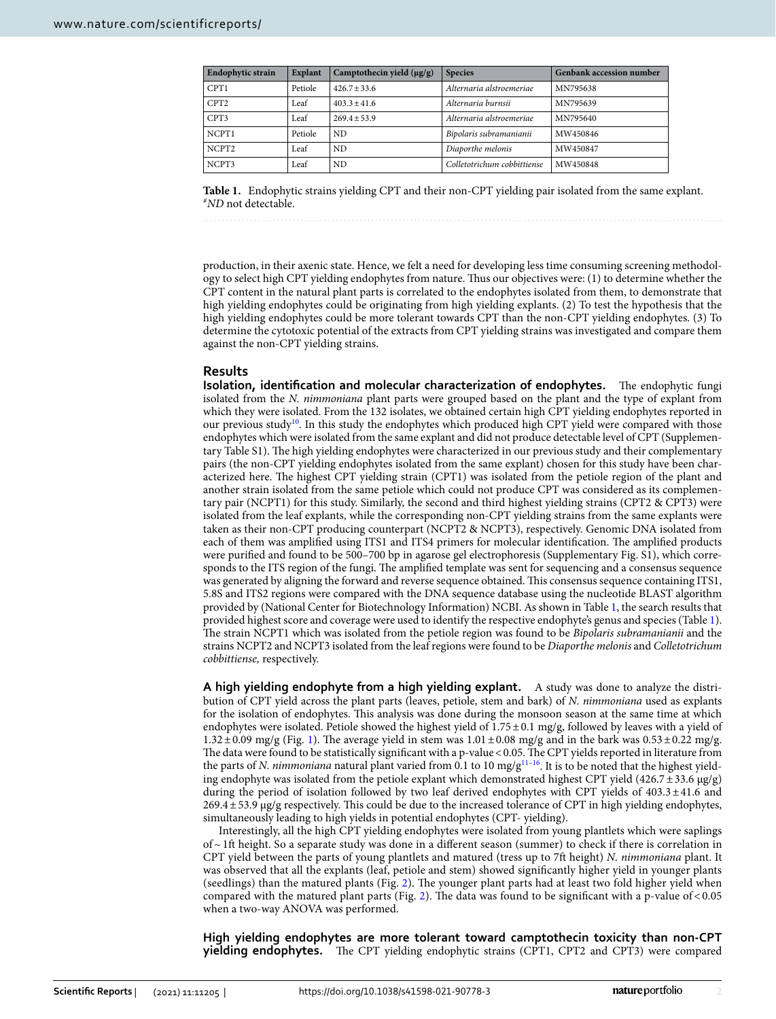| <b>Endophytic strain</b> | <b>Explant</b> | Camptothecin yield $(\mu g/g)$ | <b>Species</b>              | <b>Genbank accession number</b> |
|--------------------------|----------------|--------------------------------|-----------------------------|---------------------------------|
| CPT1                     | Petiole        | $426.7 \pm 33.6$               | Alternaria alstroemeriae    | MN795638                        |
| CPT <sub>2</sub>         | Leaf           | $403.3 + 41.6$                 | Alternaria burnsii          | MN795639                        |
| CPT3                     | Leaf           | $269.4 + 53.9$                 | Alternaria alstroemeriae    | MN795640                        |
| NCPT1                    | Petiole        | ND.                            | Bipolaris subramanianii     | MW450846                        |
| NCPT <sub>2</sub>        | Leaf           | ND.                            | Diaporthe melonis           | MW450847                        |
| NCPT3                    | Leaf           | ND.                            | Colletotrichum cobbittiense | MW450848                        |

<span id="page-1-0"></span>**Table 1.** Endophytic strains yielding CPT and their non-CPT yielding pair isolated from the same explant. #ND not detectable.

production, in their axenic state. Hence, we felt a need for developing less time consuming screening methodology to select high CPT yielding endophytes from nature. Thus our objectives were: (1) to determine whether the CPT content in the natural plant parts is correlated to the endophytes isolated from them, to demonstrate that high yielding endophytes could be originating from high yielding explants. (2) To test the hypothesis that the high yielding endophytes could be more tolerant towards CPT than the non-CPT yielding endophytes. (3) To determine the cytotoxic potential of the extracts from CPT yielding strains was investigated and compare them against the non-CPT yielding strains.

#### **Results**

**Isolation, identification and molecular characterization of endophytes.** The endophytic fungi isolated from the N. nimmoniana plant parts were grouped based on the plant and the type of explant from which they were isolated. From the 132 isolates, we obtained certain high CPT yielding endophytes reported in our previous study<sup>[10](#page-7-9)</sup>. In this study the endophytes which produced high CPT yield were compared with those endophytes which were isolated from the same explant and did not produce detectable level of CPT (Supplementary Table S1). The high yielding endophytes were characterized in our previous study and their complementary pairs (the non-CPT yielding endophytes isolated from the same explant) chosen for this study have been characterized here. The highest CPT yielding strain (CPT1) was isolated from the petiole region of the plant and another strain isolated from the same petiole which could not produce CPT was considered as its complementary pair (NCPT1) for this study. Similarly, the second and third highest yielding strains (CPT2 & CPT3) were isolated from the leaf explants, while the corresponding non-CPT yielding strains from the same explants were taken as their non-CPT producing counterpart (NCPT2 & NCPT3), respectively. Genomic DNA isolated from each of them was amplified using ITS1 and ITS4 primers for molecular identification. The amplified products were purified and found to be 500-700 bp in agarose gel electrophoresis (Supplementary Fig. S1), which corresponds to the ITS region of the fungi. The amplified template was sent for sequencing and a consensus sequence was generated by aligning the forward and reverse sequence obtained. This consensus sequence containing ITS1, 5.8S and ITS2 regions were compared with the DNA sequence database using the nucleotide BLAST algorithm provided by (National Center for Biotechnology Information) NCBI. As shown in Table [1](#page-1-0), the search results that provided highest score and coverage were used to identify the respective endophyte's genus and species (Table [1](#page-1-0)). The strain NCPT1 which was isolated from the petiole region was found to be Bipolaris subramanianii and the strains NCPT2 and NCPT3 isolated from the leaf regions were found to be Diaporthe melonis and Colletotrichum cobbittiense, respectively.

**A high yielding endophyte from a high yielding explant.** A study was done to analyze the distribution of CPT yield across the plant parts (leaves, petiole, stem and bark) of N. nimmoniana used as explants for the isolation of endophytes. This analysis was done during the monsoon season at the same time at which endophytes were isolated. Petiole showed the highest yield of 1.75 ± 0.1 mg/g, followed by leaves with a yield of [1](#page-2-0).32  $\pm$  0.09 mg/g (Fig. 1). The average yield in stem was  $1.01 \pm 0.08$  mg/g and in the bark was  $0.53 \pm 0.22$  mg/g. The data were found to be statistically significant with a p-value < 0.05. The CPT yields reported in literature from the parts of N. nimmoniana natural plant varied from 0.1 to 10 mg/g<sup>11-[16](#page-7-11)</sup>. It is to be noted that the highest yielding endophyte was isolated from the petiole explant which demonstrated highest CPT yield (426.7  $\pm$  33.6  $\mu$ g/g) during the period of isolation followed by two leaf derived endophytes with CPT yields of  $403.3 \pm 41.6$  and 269.4 ± 53.9 µg/g respectively. This could be due to the increased tolerance of CPT in high yielding endophytes, simultaneously leading to high yields in potential endophytes (CPT- yielding).

Interestingly, all the high CPT yielding endophytes were isolated from young plantlets which were saplings of ~ 1ft height. So a separate study was done in a different season (summer) to check if there is correlation in CPT yield between the parts of young plantlets and matured (tress up to 7ft height) N. nimmoniana plant. It was observed that all the explants (leaf, petiole and stem) showed significantly higher yield in younger plants (seedlings) than the matured plants (Fig. [2\)](#page-2-1). The younger plant parts had at least two fold higher yield when compared with the matured plant parts (Fig. [2](#page-2-1)). The data was found to be significant with a p-value of < 0.05 when a two-way ANOVA was performed.

**High yielding endophytes are more tolerant toward camptothecin toxicity than non-CPT yielding endophytes.** The CPT yielding endophytic strains (CPT1, CPT2 and CPT3) were compared

2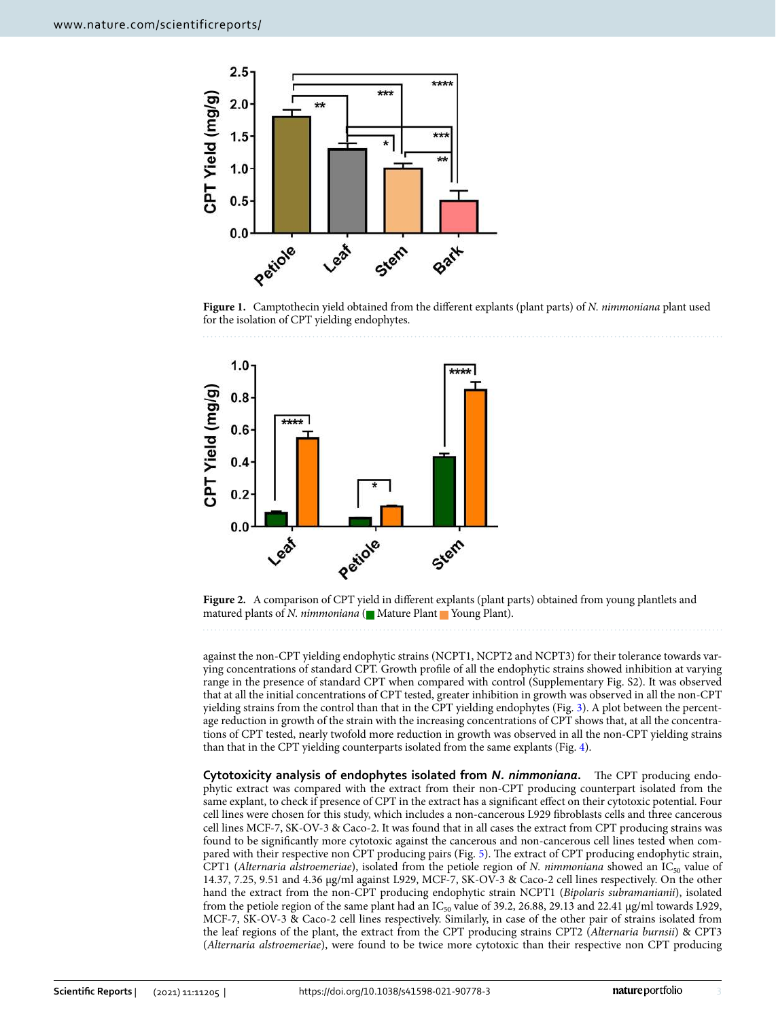

<span id="page-2-0"></span>Figure 1. Camptothecin yield obtained from the different explants (plant parts) of N. nimmoniana plant used for the isolation of CPT yielding endophytes.



<span id="page-2-1"></span>**Figure 2.** A comparison of CPT yield in different explants (plant parts) obtained from young plantlets and matured plants of *N. nimmoniana* ( $\blacksquare$  Mature Plant  $\blacksquare$  Young Plant).

against the non-CPT yielding endophytic strains (NCPT1, NCPT2 and NCPT3) for their tolerance towards varying concentrations of standard CPT. Growth profile of all the endophytic strains showed inhibition at varying range in the presence of standard CPT when compared with control (Supplementary Fig. S2). It was observed that at all the initial concentrations of CPT tested, greater inhibition in growth was observed in all the non-CPT yielding strains from the control than that in the CPT yielding endophytes (Fig. [3\)](#page-3-0). A plot between the percentage reduction in growth of the strain with the increasing concentrations of CPT shows that, at all the concentrations of CPT tested, nearly twofold more reduction in growth was observed in all the non-CPT yielding strains than that in the CPT yielding counterparts isolated from the same explants (Fig. [4\)](#page-3-1).

**Cytotoxicity analysis of endophytes isolated from** *N. nimmoniana***.** The CPT producing endophytic extract was compared with the extract from their non-CPT producing counterpart isolated from the same explant, to check if presence of CPT in the extract has a significant effect on their cytotoxic potential. Four cell lines were chosen for this study, which includes a non-cancerous L929 fibroblasts cells and three cancerous cell lines MCF-7, SK-OV-3 & Caco-2. It was found that in all cases the extract from CPT producing strains was found to be significantly more cytotoxic against the cancerous and non-cancerous cell lines tested when compared with their respective non CPT producing pairs (Fig. [5\)](#page-4-0). The extract of CPT producing endophytic strain, CPT1 (Alternaria alstroemeriae), isolated from the petiole region of N. nimmoniana showed an  $IC_{50}$  value of 14.37, 7.25, 9.51 and 4.36 µg/ml against L929, MCF-7, SK-OV-3 & Caco-2 cell lines respectively. On the other hand the extract from the non-CPT producing endophytic strain NCPT1 (Bipolaris subramanianii), isolated from the petiole region of the same plant had an IC<sub>50</sub> value of 39.2, 26.88, 29.13 and 22.41  $\mu$ g/ml towards L929, MCF-7, SK-OV-3 & Caco-2 cell lines respectively. Similarly, in case of the other pair of strains isolated from the leaf regions of the plant, the extract from the CPT producing strains CPT2 (Alternaria burnsii) & CPT3 (Alternaria alstroemeriae), were found to be twice more cytotoxic than their respective non CPT producing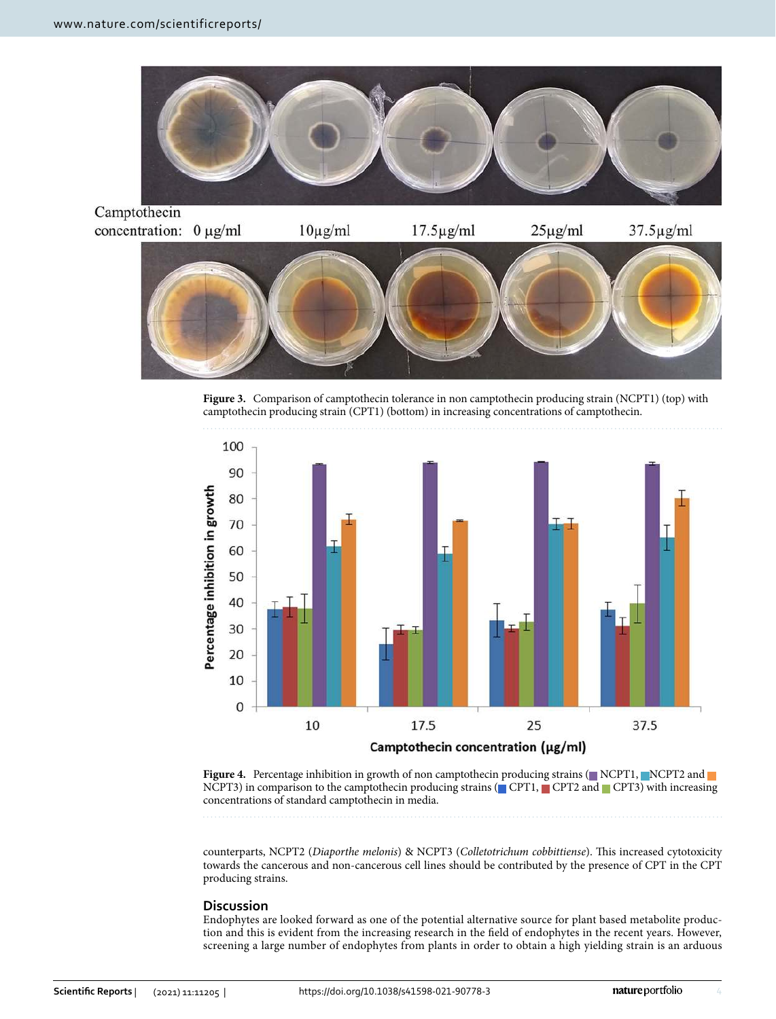



<span id="page-3-0"></span>**Figure 3.** Comparison of camptothecin tolerance in non camptothecin producing strain (NCPT1) (top) with camptothecin producing strain (CPT1) (bottom) in increasing concentrations of camptothecin.



<span id="page-3-1"></span>**Figure 4.** Percentage inhibition in growth of non camptothecin producing strains ( $\blacksquare$  NCPT1,  $\blacksquare$ NCPT2 and NCPT3) in comparison to the camptothecin producing strains ( $\blacksquare$ CPT1,  $\blacksquare$ CPT2 and  $\blacksquare$ CPT3) with increasing concentrations of standard camptothecin in media.

counterparts, NCPT2 (Diaporthe melonis) & NCPT3 (Colletotrichum cobbittiense). This increased cytotoxicity towards the cancerous and non-cancerous cell lines should be contributed by the presence of CPT in the CPT producing strains.

### **Discussion**

Endophytes are looked forward as one of the potential alternative source for plant based metabolite production and this is evident from the increasing research in the field of endophytes in the recent years. However, screening a large number of endophytes from plants in order to obtain a high yielding strain is an arduous

4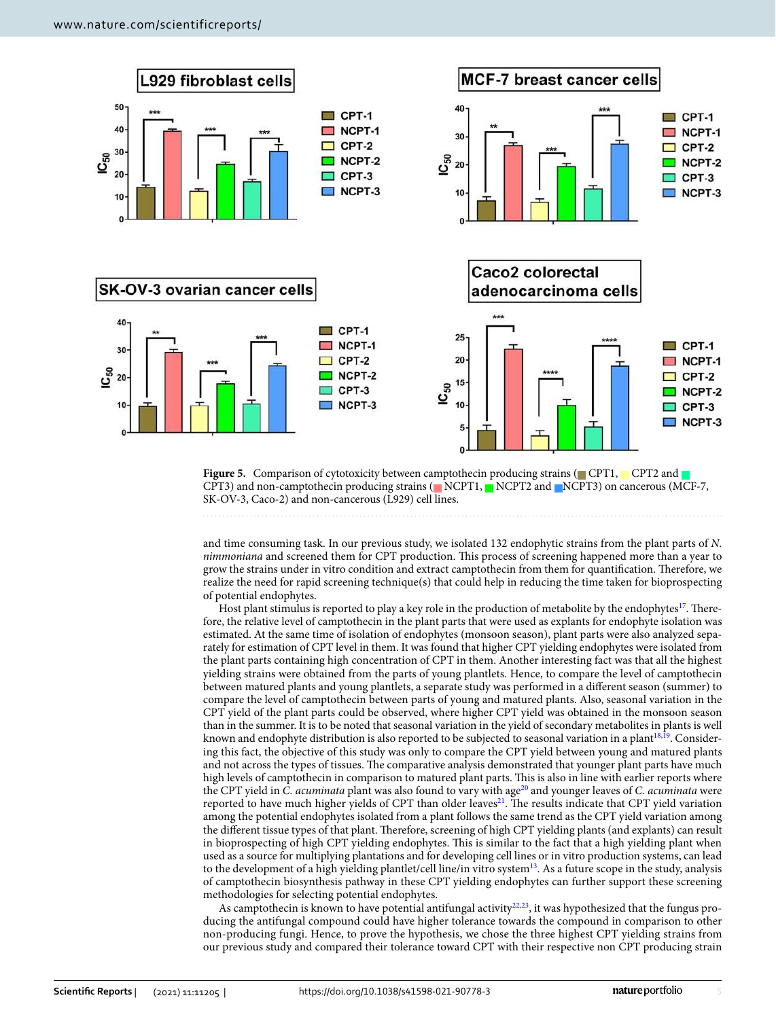

<span id="page-4-0"></span>**Figure 5.** Comparison of cytotoxicity between camptothecin producing strains (CPT1, CPT2 and CPT3) and non-camptothecin producing strains (NCPT1, NCPT2 and NCPT3) on cancerous (MCF-7, SK-OV-3, Caco-2) and non-cancerous (L929) cell lines.

and time consuming task. In our previous study, we isolated 132 endophytic strains from the plant parts of N. nimmoniana and screened them for CPT production. This process of screening happened more than a year to grow the strains under in vitro condition and extract camptothecin from them for quantification. Therefore, we realize the need for rapid screening technique(s) that could help in reducing the time taken for bioprospecting of potential endophytes.

Host plant stimulus is reported to play a key role in the production of metabolite by the endophytes<sup>[17](#page-7-12)</sup>. Therefore, the relative level of camptothecin in the plant parts that were used as explants for endophyte isolation was estimated. At the same time of isolation of endophytes (monsoon season), plant parts were also analyzed separately for estimation of CPT level in them. It was found that higher CPT yielding endophytes were isolated from the plant parts containing high concentration of CPT in them. Another interesting fact was that all the highest yielding strains were obtained from the parts of young plantlets. Hence, to compare the level of camptothecin between matured plants and young plantlets, a separate study was performed in a different season (summer) to compare the level of camptothecin between parts of young and matured plants. Also, seasonal variation in the CPT yield of the plant parts could be observed, where higher CPT yield was obtained in the monsoon season than in the summer. It is to be noted that seasonal variation in the yield of secondary metabolites in plants is well known and endophyte distribution is also reported to be subjected to seasonal variation in a plant<sup>[18](#page-7-13),[19](#page-7-14)</sup>. Considering this fact, the objective of this study was only to compare the CPT yield between young and matured plants and not across the types of tissues. The comparative analysis demonstrated that younger plant parts have much high levels of camptothecin in comparison to matured plant parts. This is also in line with earlier reports where the CPT yield in C. acuminata plant was also found to vary with age<sup>[20](#page-7-15)</sup> and younger leaves of C. acuminata were reported to have much higher yields of CPT than older leaves<sup>[21](#page-7-16)</sup>. The results indicate that CPT yield variation among the potential endophytes isolated from a plant follows the same trend as the CPT yield variation among the different tissue types of that plant. Therefore, screening of high CPT yielding plants (and explants) can result in bioprospecting of high CPT yielding endophytes. This is similar to the fact that a high yielding plant when used as a source for multiplying plantations and for developing cell lines or in vitro production systems, can lead to the development of a high yielding plantlet/cell line/in vitro system<sup>[13](#page-7-17)</sup>. As a future scope in the study, analysis of camptothecin biosynthesis pathway in these CPT yielding endophytes can further support these screening methodologies for selecting potential endophytes.

As camptothecin is known to have potential antifungal activity<sup>[22](#page-7-18)[,23](#page-7-19)</sup>, it was hypothesized that the fungus producing the antifungal compound could have higher tolerance towards the compound in comparison to other non-producing fungi. Hence, to prove the hypothesis, we chose the three highest CPT yielding strains from our previous study and compared their tolerance toward CPT with their respective non CPT producing strain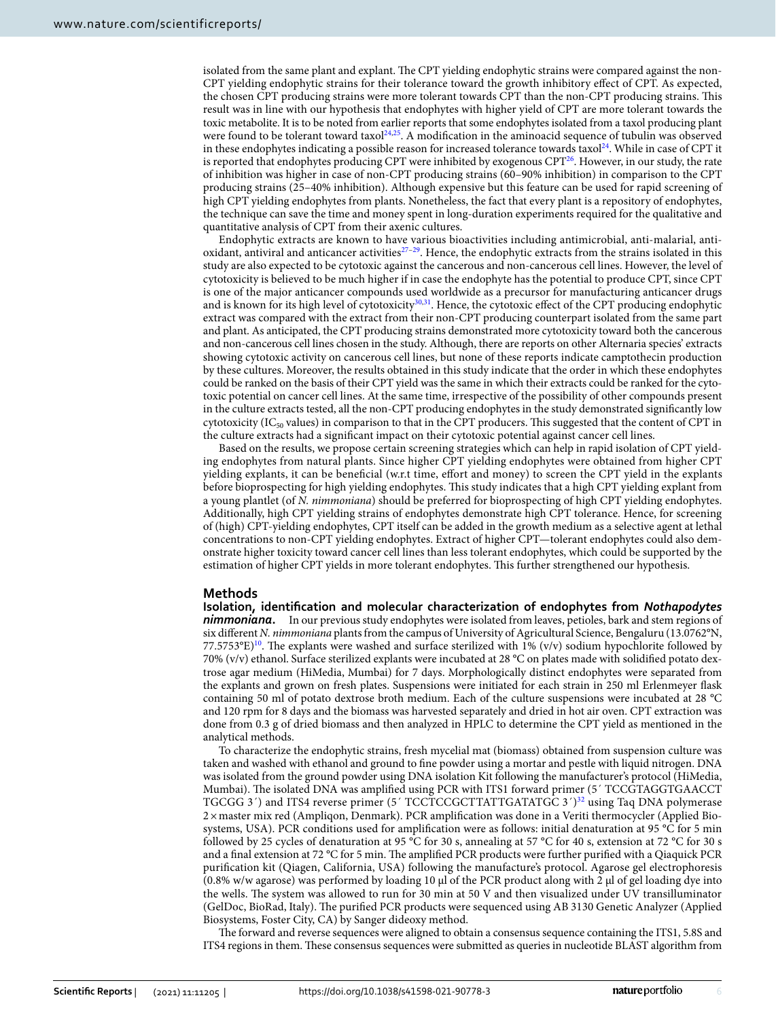isolated from the same plant and explant. The CPT yielding endophytic strains were compared against the non-CPT yielding endophytic strains for their tolerance toward the growth inhibitory effect of CPT. As expected, the chosen CPT producing strains were more tolerant towards CPT than the non-CPT producing strains. This result was in line with our hypothesis that endophytes with higher yield of CPT are more tolerant towards the toxic metabolite. It is to be noted from earlier reports that some endophytes isolated from a taxol producing plant were found to be tolerant toward taxol<sup>[24](#page-7-20),[25](#page-7-21)</sup>. A modification in the aminoacid sequence of tubulin was observed in these endophytes indicating a possible reason for increased tolerance towards taxol<sup>[24](#page-7-20)</sup>. While in case of CPT it is reported that endophytes producing CPT were inhibited by exogenous CPT<sup>[26](#page-7-22)</sup>. However, in our study, the rate of inhibition was higher in case of non-CPT producing strains (60–90% inhibition) in comparison to the CPT producing strains (25–40% inhibition). Although expensive but this feature can be used for rapid screening of high CPT yielding endophytes from plants. Nonetheless, the fact that every plant is a repository of endophytes, the technique can save the time and money spent in long-duration experiments required for the qualitative and quantitative analysis of CPT from their axenic cultures.

Endophytic extracts are known to have various bioactivities including antimicrobial, anti-malarial, antioxidant, antiviral and anticancer activities $27-29$  $27-29$ . Hence, the endophytic extracts from the strains isolated in this study are also expected to be cytotoxic against the cancerous and non-cancerous cell lines. However, the level of cytotoxicity is believed to be much higher if in case the endophyte has the potential to produce CPT, since CPT is one of the major anticancer compounds used worldwide as a precursor for manufacturing anticancer drugs and is known for its high level of cytotoxicity<sup>[30](#page-8-1)[,31](#page-8-2)</sup>. Hence, the cytotoxic effect of the CPT producing endophytic extract was compared with the extract from their non-CPT producing counterpart isolated from the same part and plant. As anticipated, the CPT producing strains demonstrated more cytotoxicity toward both the cancerous and non-cancerous cell lines chosen in the study. Although, there are reports on other Alternaria species' extracts showing cytotoxic activity on cancerous cell lines, but none of these reports indicate camptothecin production by these cultures. Moreover, the results obtained in this study indicate that the order in which these endophytes could be ranked on the basis of their CPT yield was the same in which their extracts could be ranked for the cytotoxic potential on cancer cell lines. At the same time, irrespective of the possibility of other compounds present in the culture extracts tested, all the non-CPT producing endophytes in the study demonstrated significantly low cytotoxicity (IC<sub>50</sub> values) in comparison to that in the CPT producers. This suggested that the content of CPT in the culture extracts had a significant impact on their cytotoxic potential against cancer cell lines.

Based on the results, we propose certain screening strategies which can help in rapid isolation of CPT yielding endophytes from natural plants. Since higher CPT yielding endophytes were obtained from higher CPT yielding explants, it can be beneficial (w.r.t time, effort and money) to screen the CPT yield in the explants before bioprospecting for high yielding endophytes. This study indicates that a high CPT yielding explant from a young plantlet (of N. nimmoniana) should be preferred for bioprospecting of high CPT yielding endophytes. Additionally, high CPT yielding strains of endophytes demonstrate high CPT tolerance. Hence, for screening of (high) CPT-yielding endophytes, CPT itself can be added in the growth medium as a selective agent at lethal concentrations to non-CPT yielding endophytes. Extract of higher CPT—tolerant endophytes could also demonstrate higher toxicity toward cancer cell lines than less tolerant endophytes, which could be supported by the estimation of higher CPT yields in more tolerant endophytes. This further strengthened our hypothesis.

#### **Methods**

**Isolation, identification and molecular characterization of endophytes from** *Nothapodytes nimmoniana***.** In our previous study endophytes were isolated from leaves, petioles, bark and stem regions of six different N. nimmoniana plants from the campus of University of Agricultural Science, Bengaluru (13.0762°N, 77.5753°E)<sup>[10](#page-7-9)</sup>. The explants were washed and surface sterilized with 1% (v/v) sodium hypochlorite followed by 70% (v/v) ethanol. Surface sterilized explants were incubated at 28 °C on plates made with solidified potato dextrose agar medium (HiMedia, Mumbai) for 7 days. Morphologically distinct endophytes were separated from the explants and grown on fresh plates. Suspensions were initiated for each strain in 250 ml Erlenmeyer flask containing 50 ml of potato dextrose broth medium. Each of the culture suspensions were incubated at 28 °C and 120 rpm for 8 days and the biomass was harvested separately and dried in hot air oven. CPT extraction was done from 0.3 g of dried biomass and then analyzed in HPLC to determine the CPT yield as mentioned in the analytical methods.

To characterize the endophytic strains, fresh mycelial mat (biomass) obtained from suspension culture was taken and washed with ethanol and ground to fine powder using a mortar and pestle with liquid nitrogen. DNA was isolated from the ground powder using DNA isolation Kit following the manufacturer's protocol (HiMedia, Mumbai). The isolated DNA was amplified using PCR with ITS1 forward primer (5' TCCGTAGGTGAACCT TGCGG 3') and ITS4 reverse primer (5' TCCTCCGCTTATTGATATGC 3')<sup>[32](#page-8-3)</sup> using Taq DNA polymerase 2 × master mix red (Ampliqon, Denmark). PCR amplification was done in a Veriti thermocycler (Applied Biosystems, USA). PCR conditions used for amplification were as follows: initial denaturation at 95 °C for 5 min followed by 25 cycles of denaturation at 95 °C for 30 s, annealing at 57 °C for 40 s, extension at 72 °C for 30 s and a final extension at 72 °C for 5 min. The amplified PCR products were further purified with a Qiaquick PCR purification kit (Qiagen, California, USA) following the manufacture's protocol. Agarose gel electrophoresis (0.8% w/w agarose) was performed by loading 10 µl of the PCR product along with 2 µl of gel loading dye into the wells. The system was allowed to run for 30 min at 50 V and then visualized under UV transilluminator (GelDoc, BioRad, Italy). The purified PCR products were sequenced using AB 3130 Genetic Analyzer (Applied Biosystems, Foster City, CA) by Sanger dideoxy method.

The forward and reverse sequences were aligned to obtain a consensus sequence containing the ITS1, 5.8S and ITS4 regions in them. These consensus sequences were submitted as queries in nucleotide BLAST algorithm from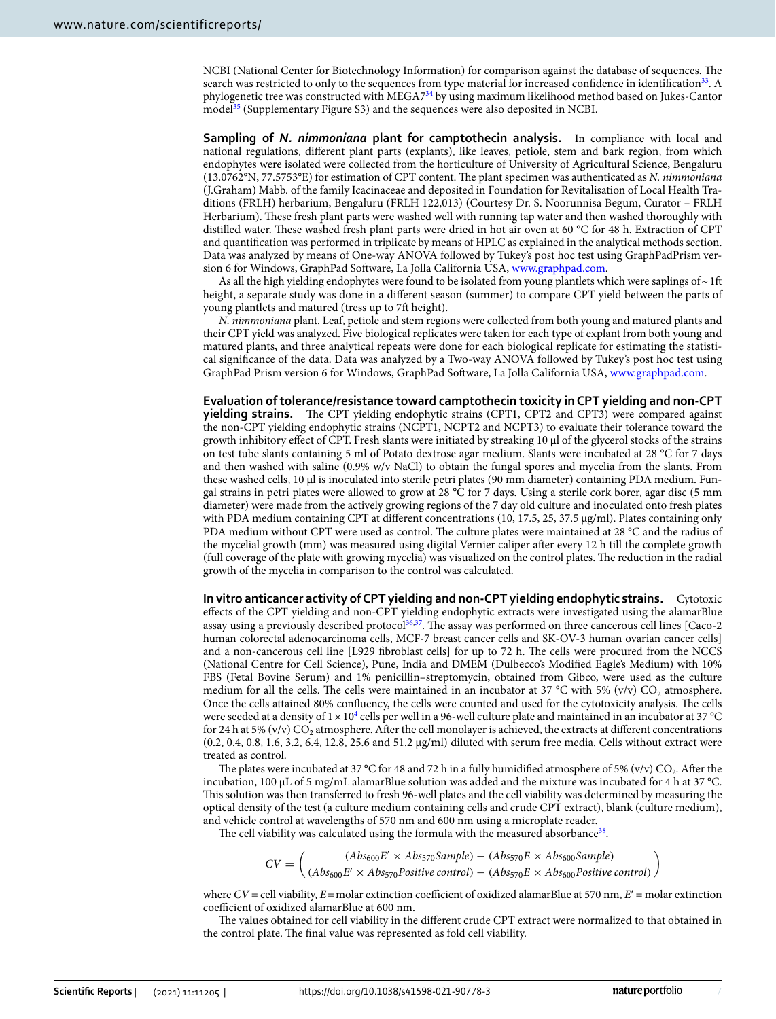NCBI (National Center for Biotechnology Information) for comparison against the database of sequences. The search was restricted to only to the sequences from type material for increased confidence in identification<sup>[33](#page-8-4)</sup>. A phylogenetic tree was constructed with MEGA7[34](#page-8-5) by using maximum likelihood method based on Jukes-Cantor mode<sup>[[35](#page-8-6)</sup>] (Supplementary Figure S3) and the sequences were also deposited in NCBI.

**Sampling of** *N. nimmoniana* **plant for camptothecin analysis.** In compliance with local and national regulations, different plant parts (explants), like leaves, petiole, stem and bark region, from which endophytes were isolated were collected from the horticulture of University of Agricultural Science, Bengaluru (13.0762°N, 77.5753°E) for estimation of CPT content. The plant specimen was authenticated as N. nimmoniana (J.Graham) Mabb. of the family Icacinaceae and deposited in Foundation for Revitalisation of Local Health Traditions (FRLH) herbarium, Bengaluru (FRLH 122,013) (Courtesy Dr. S. Noorunnisa Begum, Curator – FRLH Herbarium). These fresh plant parts were washed well with running tap water and then washed thoroughly with distilled water. These washed fresh plant parts were dried in hot air oven at 60 °C for 48 h. Extraction of CPT and quantification was performed in triplicate by means of HPLC as explained in the analytical methods section. Data was analyzed by means of One-way ANOVA followed by Tukey's post hoc test using GraphPadPrism version 6 for Windows, GraphPad Software, La Jolla California USA, www.graphpad.com.

As all the high yielding endophytes were found to be isolated from young plantlets which were saplings of  $\sim$  1ft height, a separate study was done in a different season (summer) to compare CPT yield between the parts of young plantlets and matured (tress up to 7ft height).

N. nimmoniana plant. Leaf, petiole and stem regions were collected from both young and matured plants and their CPT yield was analyzed. Five biological replicates were taken for each type of explant from both young and matured plants, and three analytical repeats were done for each biological replicate for estimating the statistical significance of the data. Data was analyzed by a Two-way ANOVA followed by Tukey's post hoc test using GraphPad Prism version 6 for Windows, GraphPad Software, La Jolla California USA, www.graphpad.com.

**Evaluation of tolerance/resistance toward camptothecin toxicity in CPT yielding and non-CPT yielding strains.** The CPT yielding endophytic strains (CPT1, CPT2 and CPT3) were compared against the non-CPT yielding endophytic strains (NCPT1, NCPT2 and NCPT3) to evaluate their tolerance toward the growth inhibitory effect of CPT. Fresh slants were initiated by streaking 10 μl of the glycerol stocks of the strains on test tube slants containing 5 ml of Potato dextrose agar medium. Slants were incubated at 28 °C for 7 days and then washed with saline (0.9% w/v NaCl) to obtain the fungal spores and mycelia from the slants. From these washed cells, 10 μl is inoculated into sterile petri plates (90 mm diameter) containing PDA medium. Fungal strains in petri plates were allowed to grow at 28 °C for 7 days. Using a sterile cork borer, agar disc (5 mm diameter) were made from the actively growing regions of the 7 day old culture and inoculated onto fresh plates with PDA medium containing CPT at different concentrations (10, 17.5, 25, 37.5 μg/ml). Plates containing only PDA medium without CPT were used as control. The culture plates were maintained at 28 °C and the radius of the mycelial growth (mm) was measured using digital Vernier caliper after every 12 h till the complete growth (full coverage of the plate with growing mycelia) was visualized on the control plates. The reduction in the radial growth of the mycelia in comparison to the control was calculated.

**In vitro anticancer activity of CPT yielding and non-CPT yielding endophytic strains.** Cytotoxic effects of the CPT yielding and non-CPT yielding endophytic extracts were investigated using the alamarBlue assay using a previously described protocol<sup>[36](#page-8-7)[,37](#page-8-8)</sup>. The assay was performed on three cancerous cell lines [Caco-2 human colorectal adenocarcinoma cells, MCF-7 breast cancer cells and SK-OV-3 human ovarian cancer cells] and a non-cancerous cell line [L929 fibroblast cells] for up to 72 h. The cells were procured from the NCCS (National Centre for Cell Science), Pune, India and DMEM (Dulbecco's Modified Eagle's Medium) with 10% FBS (Fetal Bovine Serum) and 1% penicillin–streptomycin, obtained from Gibco, were used as the culture medium for all the cells. The cells were maintained in an incubator at 37 °C with 5% (v/v)  $CO_2$  atmosphere. Once the cells attained 80% confluency, the cells were counted and used for the cytotoxicity analysis. The cells were seeded at a density of  $1\times10^4$  $1\times10^4$  cells per well in a 96-well culture plate and maintained in an incubator at 37 °C for 24 h at 5% (v/v)  $\rm CO_2$  atmosphere. After the cell monolayer is achieved, the extracts at different concentrations (0.2, 0.4, 0.8, 1.6, 3.2, 6.4, 12.8, 25.6 and 51.2 μg/ml) diluted with serum free media. Cells without extract were treated as control.

The plates were incubated at 37 °C for 48 and 72 h in a fully humidified atmosphere of 5% (v/v)  $CO_2$ . After the incubation, 100 μL of 5 mg/mL alamarBlue solution was added and the mixture was incubated for 4 h at 37 °C. This solution was then transferred to fresh 96-well plates and the cell viability was determined by measuring the optical density of the test (a culture medium containing cells and crude CPT extract), blank (culture medium), and vehicle control at wavelengths of 570 nm and 600 nm using a microplate reader.

The cell viability was calculated using the formula with the measured absorbance<sup>[38](#page-8-9)</sup>.

$$
CV = \left(\frac{(Abs_{600}E' \times Abs_{570}Sample) - (Abs_{570}E \times Abs_{600}Sample)}{(Abs_{600}E' \times Abs_{570}Positive control) - (Abs_{570}E \times Abs_{600}Positive control)}\right)
$$

where  $CV =$  cell viability,  $E =$  molar extinction coefficient of oxidized alamarBlue at 570 nm,  $E' =$  molar extinction coefficient of oxidized alamarBlue at 600 nm.

The values obtained for cell viability in the different crude CPT extract were normalized to that obtained in the control plate. The final value was represented as fold cell viability.

7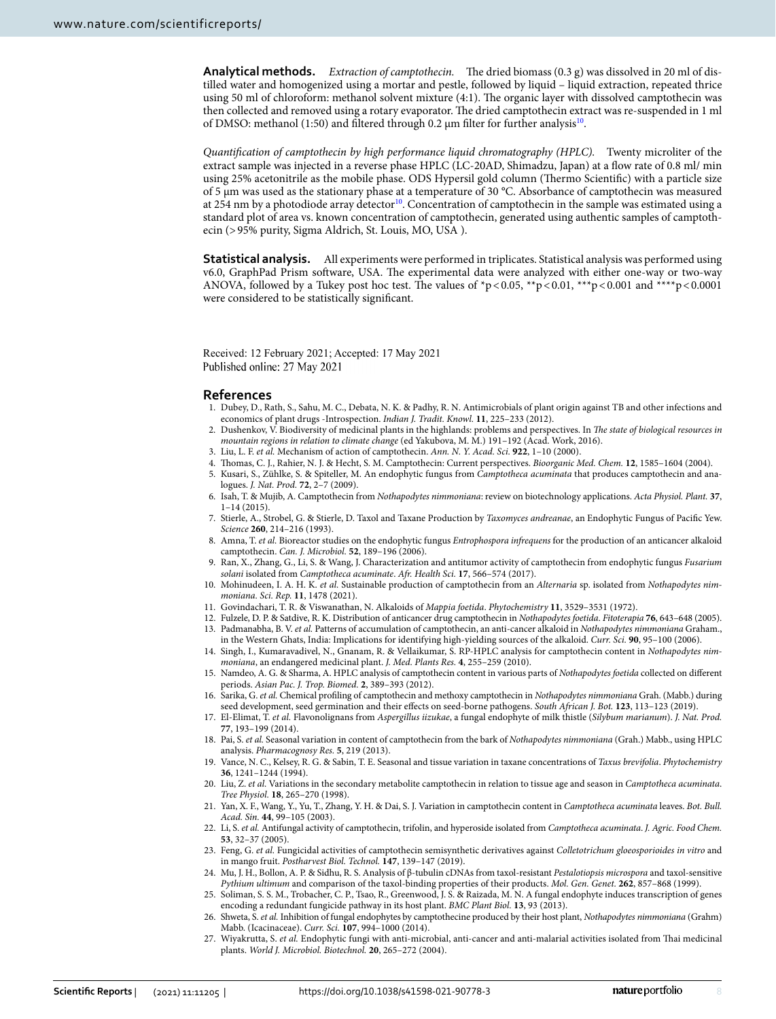**Analytical methods.** Extraction of camptothecin. The dried biomass (0.3 g) was dissolved in 20 ml of distilled water and homogenized using a mortar and pestle, followed by liquid – liquid extraction, repeated thrice using 50 ml of chloroform: methanol solvent mixture (4:1). The organic layer with dissolved camptothecin was then collected and removed using a rotary evaporator. The dried camptothecin extract was re-suspended in 1 ml of DMSO: methanol (1:50) and filtered through 0.2 µm filter for further analysis<sup>[10](#page-7-9)</sup>.

Quantification of camptothecin by high performance liquid chromatography (HPLC). Twenty microliter of the extract sample was injected in a reverse phase HPLC (LC-20AD, Shimadzu, Japan) at a flow rate of 0.8 ml/ min using 25% acetonitrile as the mobile phase. ODS Hypersil gold column (Thermo Scientific) with a particle size of 5 µm was used as the stationary phase at a temperature of 30 °C. Absorbance of camptothecin was measured at 254 nm by a photodiode array detector<sup>[10](#page-7-9)</sup>. Concentration of camptothecin in the sample was estimated using a standard plot of area vs. known concentration of camptothecin, generated using authentic samples of camptothecin (> 95% purity, Sigma Aldrich, St. Louis, MO, USA ).

**Statistical analysis.** All experiments were performed in triplicates. Statistical analysis was performed using v6.0, GraphPad Prism software, USA. The experimental data were analyzed with either one-way or two-way ANOVA, followed by a Tukey post hoc test. The values of  $\gamma p < 0.05$ ,  $\gamma p < 0.01$ ,  $\gamma p < 0.001$  and  $\gamma p < 0.0001$ were considered to be statistically significant.

Received: 12 February 2021; Accepted: 17 May 2021 Published online: 27 May 2021

#### **References**

- <span id="page-7-0"></span> 1. Dubey, D., Rath, S., Sahu, M. C., Debata, N. K. & Padhy, R. N. Antimicrobials of plant origin against TB and other infections and economics of plant drugs -Introspection. Indian J. Tradit. Knowl. **11**, 225–233 (2012).
- <span id="page-7-1"></span>2. Dushenkov, V. Biodiversity of medicinal plants in the highlands: problems and perspectives. In The state of biological resources in mountain regions in relation to climate change (ed Yakubova, M. M.) 191–192 (Acad. Work, 2016).
- <span id="page-7-2"></span>3. Liu, L. F. et al. Mechanism of action of camptothecin. Ann. N. Y. Acad. Sci. **922**, 1–10 (2000).
- <span id="page-7-3"></span>4. Thomas, C. J., Rahier, N. J. & Hecht, S. M. Camptothecin: Current perspectives. Bioorganic Med. Chem. **12**, 1585–1604 (2004).
- <span id="page-7-4"></span>5. Kusari, S., Zühlke, S. & Spiteller, M. An endophytic fungus from Camptotheca acuminata that produces camptothecin and analogues. J. Nat. Prod. **72**, 2–7 (2009).
- <span id="page-7-5"></span> 6. Isah, T. & Mujib, A. Camptothecin from Nothapodytes nimmoniana: review on biotechnology applications. Acta Physiol. Plant. **37**, 1–14 (2015).
- <span id="page-7-6"></span>7. Stierle, A., Strobel, G. & Stierle, D. Taxol and Taxane Production by Taxomyces andreanae, an Endophytic Fungus of Pacific Yew. Science **260**, 214–216 (1993).
- <span id="page-7-7"></span>8. Amna, T. et al. Bioreactor studies on the endophytic fungus Entrophospora infrequens for the production of an anticancer alkaloid camptothecin. Can. J. Microbiol. **52**, 189–196 (2006).
- <span id="page-7-8"></span>9. Ran, X., Zhang, G., Li, S. & Wang, J. Characterization and antitumor activity of camptothecin from endophytic fungus Fusarium solani isolated from Camptotheca acuminate. Afr. Health Sci. **17**, 566–574 (2017).
- <span id="page-7-9"></span>10. Mohinudeen, I. A. H. K. et al. Sustainable production of camptothecin from an Alternaria sp. isolated from Nothapodytes nimmoniana. Sci. Rep. **11**, 1478 (2021).
- <span id="page-7-10"></span>11. Govindachari, T. R. & Viswanathan, N. Alkaloids of Mappia foetida. Phytochemistry **11**, 3529–3531 (1972).
- 12. Fulzele, D. P. & Satdive, R. K. Distribution of anticancer drug camptothecin in Nothapodytes foetida. Fitoterapia **76**, 643–648 (2005).
- <span id="page-7-17"></span>13. Padmanabha, B. V. et al. Patterns of accumulation of camptothecin, an anti-cancer alkaloid in Nothapodytes nimmoniana Graham., in the Western Ghats, India: Implications for identifying high-yielding sources of the alkaloid. Curr. Sci. **90**, 95–100 (2006).
- 14. Singh, I., Kumaravadivel, N., Gnanam, R. & Vellaikumar, S. RP-HPLC analysis for camptothecin content in Nothapodytes nimmoniana, an endangered medicinal plant. J. Med. Plants Res. **4**, 255–259 (2010).
- 15. Namdeo, A. G. & Sharma, A. HPLC analysis of camptothecin content in various parts of Nothapodytes foetida collected on different periods. Asian Pac. J. Trop. Biomed. **2**, 389–393 (2012).
- <span id="page-7-11"></span>16. Sarika, G. et al. Chemical profiling of camptothecin and methoxy camptothecin in Nothapodytes nimmoniana Grah. (Mabb.) during seed development, seed germination and their effects on seed-borne pathogens. South African J. Bot. **123**, 113–123 (2019).
- <span id="page-7-12"></span>17. El-Elimat, T. et al. Flavonolignans from Aspergillus iizukae, a fungal endophyte of milk thistle (Silybum marianum). J. Nat. Prod. **77**, 193–199 (2014).
- <span id="page-7-13"></span>18. Pai, S. et al. Seasonal variation in content of camptothecin from the bark of Nothapodytes nimmoniana (Grah.) Mabb., using HPLC analysis. Pharmacognosy Res. **5**, 219 (2013).
- <span id="page-7-14"></span>19. Vance, N. C., Kelsey, R. G. & Sabin, T. E. Seasonal and tissue variation in taxane concentrations of Taxus brevifolia. Phytochemistry **36**, 1241–1244 (1994).
- <span id="page-7-15"></span>20. Liu, Z. et al. Variations in the secondary metabolite camptothecin in relation to tissue age and season in Camptotheca acuminata. Tree Physiol. **18**, 265–270 (1998).
- <span id="page-7-16"></span>21. Yan, X. F., Wang, Y., Yu, T., Zhang, Y. H. & Dai, S. J. Variation in camptothecin content in Camptotheca acuminata leaves. Bot. Bull. Acad. Sin. **44**, 99–105 (2003).
- <span id="page-7-18"></span>22. Li, S. et al. Antifungal activity of camptothecin, trifolin, and hyperoside isolated from Camptotheca acuminata. J. Agric. Food Chem. **53**, 32–37 (2005).
- <span id="page-7-19"></span>23. Feng, G. et al. Fungicidal activities of camptothecin semisynthetic derivatives against Colletotrichum gloeosporioides in vitro and in mango fruit. Postharvest Biol. Technol. **147**, 139–147 (2019).
- <span id="page-7-20"></span> 24. Mu, J. H., Bollon, A. P. & Sidhu, R. S. Analysis of β-tubulin cDNAs from taxol-resistant Pestalotiopsis microspora and taxol-sensitive Pythium ultimum and comparison of the taxol-binding properties of their products. Mol. Gen. Genet. **262**, 857–868 (1999).
- <span id="page-7-21"></span> 25. Soliman, S. S. M., Trobacher, C. P., Tsao, R., Greenwood, J. S. & Raizada, M. N. A fungal endophyte induces transcription of genes encoding a redundant fungicide pathway in its host plant. BMC Plant Biol. **13**, 93 (2013).
- <span id="page-7-22"></span>26. Shweta, S. et al. Inhibition of fungal endophytes by camptothecine produced by their host plant, Nothapodytes nimmoniana (Grahm) Mabb. (Icacinaceae). Curr. Sci. **107**, 994–1000 (2014).
- <span id="page-7-23"></span>27. Wiyakrutta, S. et al. Endophytic fungi with anti-microbial, anti-cancer and anti-malarial activities isolated from Thai medicinal plants. World J. Microbiol. Biotechnol. **20**, 265–272 (2004).